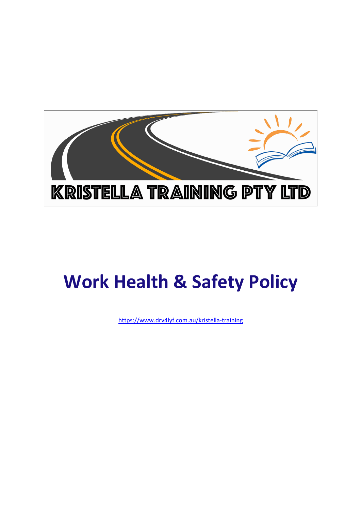

# **Work Health & Safety Policy**

https://www.drv4lyf.com.au/kristella-training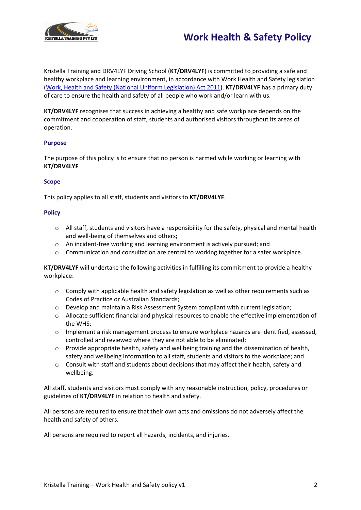

# **Work Health & Safety Policy**

Kristella Training and DRV4LYF Driving School (**KT/DRV4LYF**) is committed to providing a safe and healthy workplace and learning environment, in accordance with Work Health and Safety legislation (Work, Health and Safety (National Uniform Legislation) Act 2011). **KT/DRV4LYF** has a primary duty of care to ensure the health and safety of all people who work and/or learn with us.

**KT/DRV4LYF** recognises that success in achieving a healthy and safe workplace depends on the commitment and cooperation of staff, students and authorised visitors throughout its areas of operation.

### **Purpose**

The purpose of this policy is to ensure that no person is harmed while working or learning with **KT/DRV4LYF**

## **Scope**

This policy applies to all staff, students and visitors to **KT/DRV4LYF**.

### **Policy**

- $\circ$  All staff, students and visitors have a responsibility for the safety, physical and mental health and well-being of themselves and others;
- o An incident-free working and learning environment is actively pursued; and
- $\circ$  Communication and consultation are central to working together for a safer workplace.

**KT/DRV4LYF** will undertake the following activities in fulfilling its commitment to provide a healthy workplace:

- $\circ$  Comply with applicable health and safety legislation as well as other requirements such as Codes of Practice or Australian Standards;
- o Develop and maintain a Risk Assessment System compliant with current legislation;
- o Allocate sufficient financial and physical resources to enable the effective implementation of the WHS;
- o Implement a risk management process to ensure workplace hazards are identified, assessed, controlled and reviewed where they are not able to be eliminated;
- $\circ$  Provide appropriate health, safety and wellbeing training and the dissemination of health, safety and wellbeing information to all staff, students and visitors to the workplace; and
- o Consult with staff and students about decisions that may affect their health, safety and wellbeing.

All staff, students and visitors must comply with any reasonable instruction, policy, procedures or guidelines of **KT/DRV4LYF** in relation to health and safety.

All persons are required to ensure that their own acts and omissions do not adversely affect the health and safety of others.

All persons are required to report all hazards, incidents, and injuries.